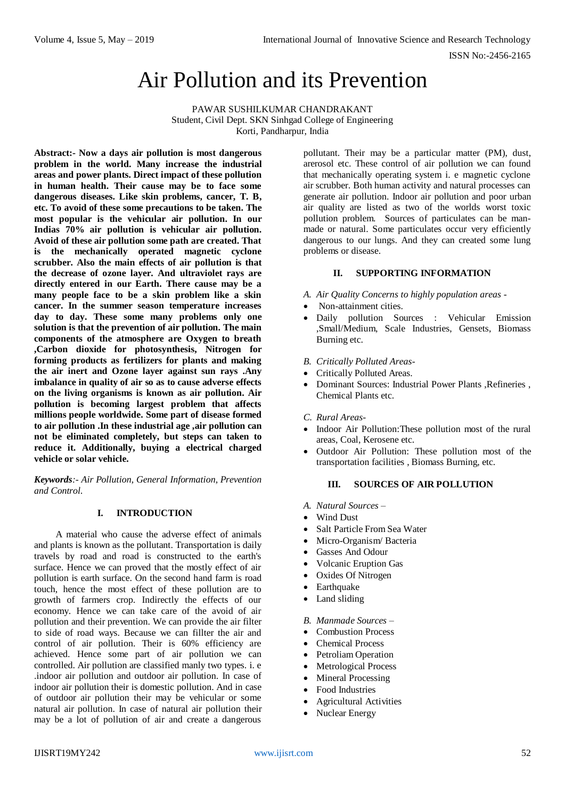ISSN No:-2456-2165

# Air Pollution and its Prevention

PAWAR SUSHILKUMAR CHANDRAKANT Student, Civil Dept. SKN Sinhgad College of Engineering Korti, Pandharpur, India

**Abstract:- Now a days air pollution is most dangerous problem in the world. Many increase the industrial areas and power plants. Direct impact of these pollution in human health. Their cause may be to face some dangerous diseases. Like skin problems, cancer, T. B, etc. To avoid of these some precautions to be taken. The most popular is the vehicular air pollution. In our Indias 70% air pollution is vehicular air pollution. Avoid of these air pollution some path are created. That is the mechanically operated magnetic cyclone scrubber. Also the main effects of air pollution is that the decrease of ozone layer. And ultraviolet rays are directly entered in our Earth. There cause may be a many people face to be a skin problem like a skin cancer. In the summer season temperature increases day to day. These some many problems only one solution is that the prevention of air pollution. The main components of the atmosphere are Oxygen to breath ,Carbon dioxide for photosynthesis, Nitrogen for forming products as fertilizers for plants and making the air inert and Ozone layer against sun rays .Any imbalance in quality of air so as to cause adverse effects on the living organisms is known as air pollution. Air pollution is becoming largest problem that affects millions people worldwide. Some part of disease formed to air pollution .In these industrial age ,air pollution can not be eliminated completely, but steps can taken to reduce it. Additionally, buying a electrical charged vehicle or solar vehicle.**

*Keywords:- Air Pollution, General Information, Prevention and Control.*

# **I. INTRODUCTION**

A material who cause the adverse effect of animals and plants is known as the pollutant. Transportation is daily travels by road and road is constructed to the earth's surface. Hence we can proved that the mostly effect of air pollution is earth surface. On the second hand farm is road touch, hence the most effect of these pollution are to growth of farmers crop. Indirectly the effects of our economy. Hence we can take care of the avoid of air pollution and their prevention. We can provide the air filter to side of road ways. Because we can fillter the air and control of air pollution. Their is 60% efficiency are achieved. Hence some part of air pollution we can controlled. Air pollution are classified manly two types. i. e .indoor air pollution and outdoor air pollution. In case of indoor air pollution their is domestic pollution. And in case of outdoor air pollution their may be vehicular or some natural air pollution. In case of natural air pollution their may be a lot of pollution of air and create a dangerous

pollutant. Their may be a particular matter (PM), dust, arerosol etc. These control of air pollution we can found that mechanically operating system i. e magnetic cyclone air scrubber. Both human activity and natural processes can generate air pollution. Indoor air pollution and poor urban air quality are listed as two of the worlds worst toxic pollution problem. Sources of particulates can be manmade or natural. Some particulates occur very efficiently dangerous to our lungs. And they can created some lung problems or disease.

## **II. SUPPORTING INFORMATION**

- *A. Air Quality Concerns to highly population areas -*
- Non-attainment cities.
- Daily pollution Sources : Vehicular Emission ,Small/Medium, Scale Industries, Gensets, Biomass Burning etc.
- *B. Critically Polluted Areas-*
- Critically Polluted Areas.
- Dominant Sources: Industrial Power Plants ,Refineries , Chemical Plants etc.
- *C. Rural Areas-*
- Indoor Air Pollution:These pollution most of the rural areas, Coal, Kerosene etc.
- Outdoor Air Pollution: These pollution most of the transportation facilities , Biomass Burning, etc.

## **III. SOURCES OF AIR POLLUTION**

- *A. Natural Sources –*
- Wind Dust
- Salt Particle From Sea Water
- Micro-Organism/ Bacteria
- Gasses And Odour
- Volcanic Eruption Gas
- Oxides Of Nitrogen
- Earthquake
- Land sliding
- *B. Manmade Sources –*
- Combustion Process
- Chemical Process
- Petroliam Operation
- Metrological Process
- Mineral Processing
- Food Industries
- Agricultural Activities
- Nuclear Energy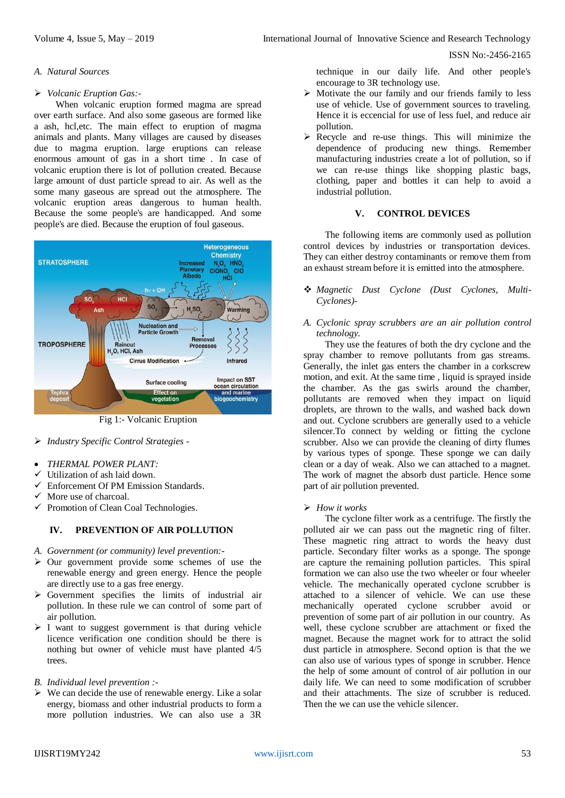ISSN No:-2456-2165

#### *A. Natural Sources*

## *Volcanic Eruption Gas:-*

When volcanic eruption formed magma are spread over earth surface. And also some gaseous are formed like a ash, hcl,etc. The main effect to eruption of magma animals and plants. Many villages are caused by diseases due to magma eruption. large eruptions can release enormous amount of gas in a short time . In case of volcanic eruption there is lot of pollution created. Because large amount of dust particle spread to air. As well as the some many gaseous are spread out the atmosphere. The volcanic eruption areas dangerous to human health. Because the some people's are handicapped. And some people's are died. Because the eruption of foul gaseous.



Fig 1:- Volcanic Eruption

- *Industry Specific Control Strategies -*
- *THERMAL POWER PLANT:*
- Utilization of ash laid down.
- $\checkmark$  Enforcement Of PM Emission Standards.
- More use of charcoal.
- Promotion of Clean Coal Technologies.

# **IV. PREVENTION OF AIR POLLUTION**

- *A. Government (or community) level prevention:-*
- $\triangleright$  Our government provide some schemes of use the renewable energy and green energy. Hence the people are directly use to a gas free energy.
- Government specifies the limits of industrial air pollution. In these rule we can control of some part of air pollution.
- $\triangleright$  I want to suggest government is that during vehicle licence verification one condition should be there is nothing but owner of vehicle must have planted 4/5 trees.
- *B. Individual level prevention :-*
- $\triangleright$  We can decide the use of renewable energy. Like a solar energy, biomass and other industrial products to form a more pollution industries. We can also use a 3R

technique in our daily life. And other people's encourage to 3R technology use.

- $\triangleright$  Motivate the our family and our friends family to less use of vehicle. Use of government sources to traveling. Hence it is eccencial for use of less fuel, and reduce air pollution.
- $\triangleright$  Recycle and re-use things. This will minimize the dependence of producing new things. Remember manufacturing industries create a lot of pollution, so if we can re-use things like shopping plastic bags, clothing, paper and bottles it can help to avoid a industrial pollution.

# **V. CONTROL DEVICES**

The following items are commonly used as pollution control devices by industries or transportation devices. They can either destroy contaminants or remove them from an exhaust stream before it is emitted into the atmosphere.

 *Magnetic Dust Cyclone (Dust Cyclones, Multi-Cyclones)-*

## *A. Cyclonic spray scrubbers are an air pollution control technology.*

They use the features of both the dry cyclone and the spray chamber to remove pollutants from gas streams. Generally, the inlet gas enters the chamber in a corkscrew motion, and exit. At the same time , liquid is sprayed inside the chamber. As the gas swirls around the chamber, pollutants are removed when they impact on liquid droplets, are thrown to the walls, and washed back down and out. Cyclone scrubbers are generally used to a vehicle silencer.To connect by welding or fitting the cyclone scrubber. Also we can provide the cleaning of dirty flumes by various types of sponge. These sponge we can daily clean or a day of weak. Also we can attached to a magnet. The work of magnet the absorb dust particle. Hence some part of air pollution prevented.

## *How it works*

The cyclone filter work as a centrifuge. The firstly the polluted air we can pass out the magnetic ring of filter. These magnetic ring attract to words the heavy dust particle. Secondary filter works as a sponge. The sponge are capture the remaining pollution particles. This spiral formation we can also use the two wheeler or four wheeler vehicle. The mechanically operated cyclone scrubber is attached to a silencer of vehicle. We can use these mechanically operated cyclone scrubber avoid or prevention of some part of air pollution in our country. As well, these cyclone scrubber are attachment or fixed the magnet. Because the magnet work for to attract the solid dust particle in atmosphere. Second option is that the we can also use of various types of sponge in scrubber. Hence the help of some amount of control of air pollution in our daily life. We can need to some modification of scrubber and their attachments. The size of scrubber is reduced. Then the we can use the vehicle silencer.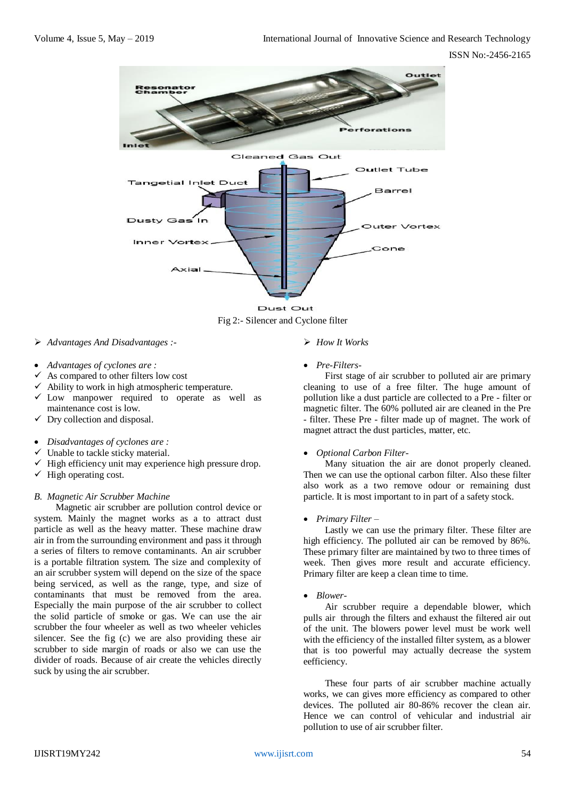

Fig 2:- Silencer and Cyclone filter

- *Advantages And Disadvantages :-*
- *Advantages of cyclones are :*
- As compared to other filters low cost
- $\checkmark$  Ability to work in high atmospheric temperature.
- $\checkmark$  Low manpower required to operate as well as maintenance cost is low.
- $\checkmark$  Dry collection and disposal.
- *Disadvantages of cyclones are :*
- Unable to tackle sticky material.
- $\checkmark$  High efficiency unit may experience high pressure drop.
- $\checkmark$  High operating cost.

## *B. Magnetic Air Scrubber Machine*

Magnetic air scrubber are pollution control device or system. Mainly the magnet works as a to attract dust particle as well as the heavy matter. These machine draw air in from the surrounding environment and pass it through a series of filters to remove contaminants. An air scrubber is a portable filtration system. The size and complexity of an air scrubber system will depend on the size of the space being serviced, as well as the range, type, and size of contaminants that must be removed from the area. Especially the main purpose of the air scrubber to collect the solid particle of smoke or gas. We can use the air scrubber the four wheeler as well as two wheeler vehicles silencer. See the fig (c) we are also providing these air scrubber to side margin of roads or also we can use the divider of roads. Because of air create the vehicles directly suck by using the air scrubber.

#### *How It Works*

*Pre-Filters-*

First stage of air scrubber to polluted air are primary cleaning to use of a free filter. The huge amount of pollution like a dust particle are collected to a Pre - filter or magnetic filter. The 60% polluted air are cleaned in the Pre - filter. These Pre - filter made up of magnet. The work of magnet attract the dust particles, matter, etc.

#### *Optional Carbon Filter-*

Many situation the air are donot properly cleaned. Then we can use the optional carbon filter. Also these filter also work as a two remove odour or remaining dust particle. It is most important to in part of a safety stock.

#### *Primary Filter –*

Lastly we can use the primary filter. These filter are high efficiency. The polluted air can be removed by 86%. These primary filter are maintained by two to three times of week. Then gives more result and accurate efficiency. Primary filter are keep a clean time to time.

*Blower-*

Air scrubber require a dependable blower, which pulls air through the filters and exhaust the filtered air out of the unit. The blowers power level must be work well with the efficiency of the installed filter system, as a blower that is too powerful may actually decrease the system eefficiency.

These four parts of air scrubber machine actually works, we can gives more efficiency as compared to other devices. The polluted air 80-86% recover the clean air. Hence we can control of vehicular and industrial air pollution to use of air scrubber filter.